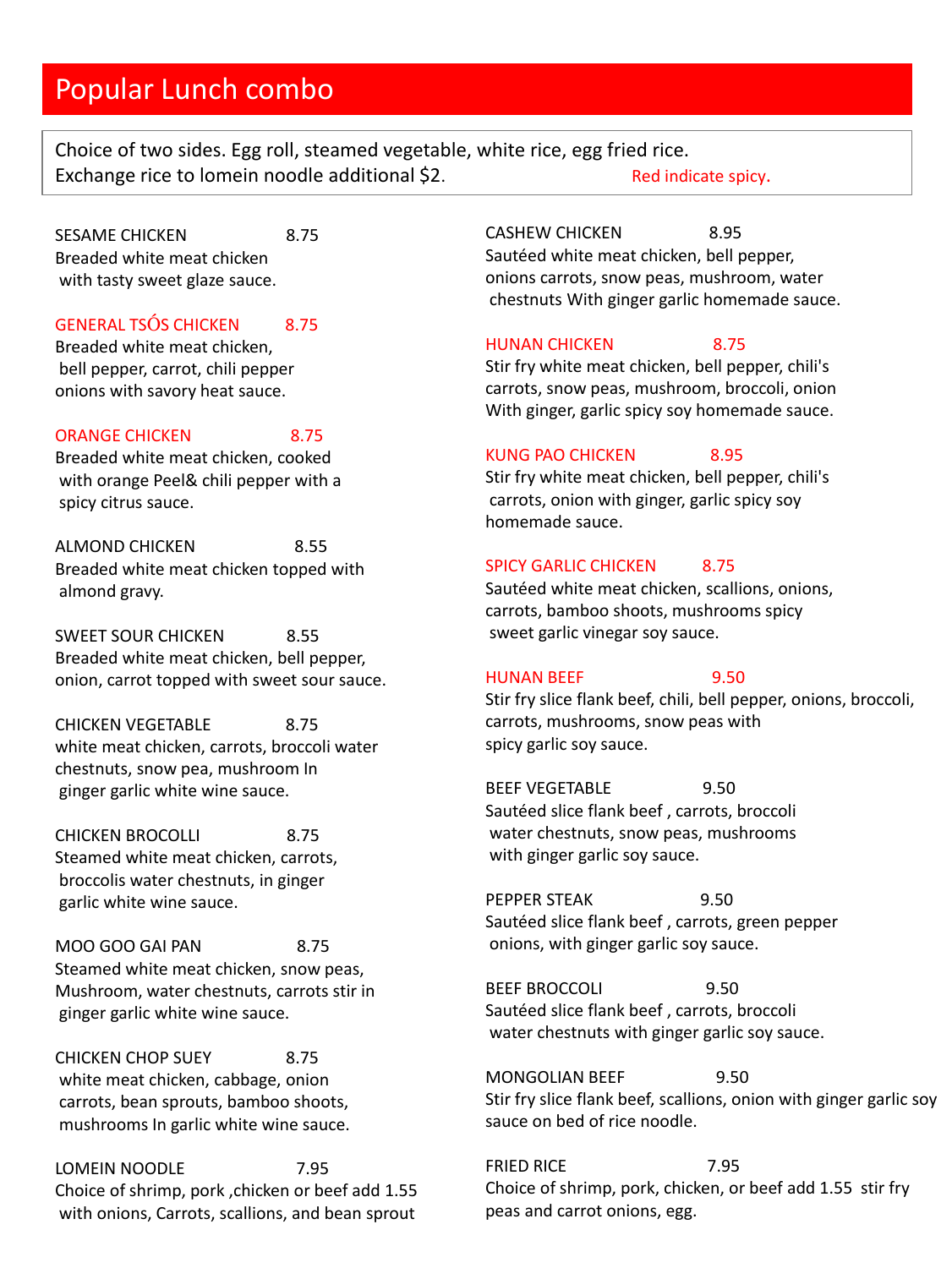## Popular Lunch combo

Choice of two sides. Egg roll, steamed vegetable, white rice, egg fried rice. Exchange rice to lomein noodle additional \$2. Red indicate spicy.

SESAME CHICKEN 8.75 Breaded white meat chicken with tasty sweet glaze sauce.

## GENERAL TSÓS CHICKEN 8.75

Breaded white meat chicken, bell pepper, carrot, chili pepper onions with savory heat sauce.

## ORANGE CHICKEN 8.75

Breaded white meat chicken, cooked with orange Peel& chili pepper with a spicy citrus sauce.

ALMOND CHICKEN 8.55 Breaded white meat chicken topped with almond gravy.

SWEET SOUR CHICKEN 8.55 Breaded white meat chicken, bell pepper, onion, carrot topped with sweet sour sauce.

CHICKEN VEGETABLE 8.75 white meat chicken, carrots, broccoli water chestnuts, snow pea, mushroom In ginger garlic white wine sauce.

CHICKEN BROCOLLI 8.75 Steamed white meat chicken, carrots, broccolis water chestnuts, in ginger garlic white wine sauce.

MOO GOO GAI PAN 8.75 Steamed white meat chicken, snow peas, Mushroom, water chestnuts, carrots stir in ginger garlic white wine sauce.

CHICKEN CHOP SUEY 8.75 white meat chicken, cabbage, onion carrots, bean sprouts, bamboo shoots, mushrooms In garlic white wine sauce.

LOMEIN NOODLE 7.95 Choice of shrimp, pork ,chicken or beef add 1.55 with onions, Carrots, scallions, and bean sprout

CASHEW CHICKEN 8.95 Sautéed white meat chicken, bell pepper, onions carrots, snow peas, mushroom, water chestnuts With ginger garlic homemade sauce.

## HUNAN CHICKEN 8.75

Stir fry white meat chicken, bell pepper, chili's carrots, snow peas, mushroom, broccoli, onion With ginger, garlic spicy soy homemade sauce.

## KUNG PAO CHICKEN 8.95

Stir fry white meat chicken, bell pepper, chili's carrots, onion with ginger, garlic spicy soy homemade sauce.

## SPICY GARLIC CHICKEN 8.75

Sautéed white meat chicken, scallions, onions, carrots, bamboo shoots, mushrooms spicy sweet garlic vinegar soy sauce.

## HUNAN BEEF 9.50

Stir fry slice flank beef, chili, bell pepper, onions, broccoli, carrots, mushrooms, snow peas with spicy garlic soy sauce.

BEEF VEGETABLE 9.50 Sautéed slice flank beef , carrots, broccoli water chestnuts, snow peas, mushrooms with ginger garlic soy sauce.

PEPPER STEAK 9.50 Sautéed slice flank beef , carrots, green pepper onions, with ginger garlic soy sauce.

BEEF BROCCOLI 9.50 Sautéed slice flank beef , carrots, broccoli water chestnuts with ginger garlic soy sauce.

MONGOLIAN BEEF 9.50 Stir fry slice flank beef, scallions, onion with ginger garlic soy sauce on bed of rice noodle.

FRIED RICE 7.95 Choice of shrimp, pork, chicken, or beef add 1.55 stir fry peas and carrot onions, egg.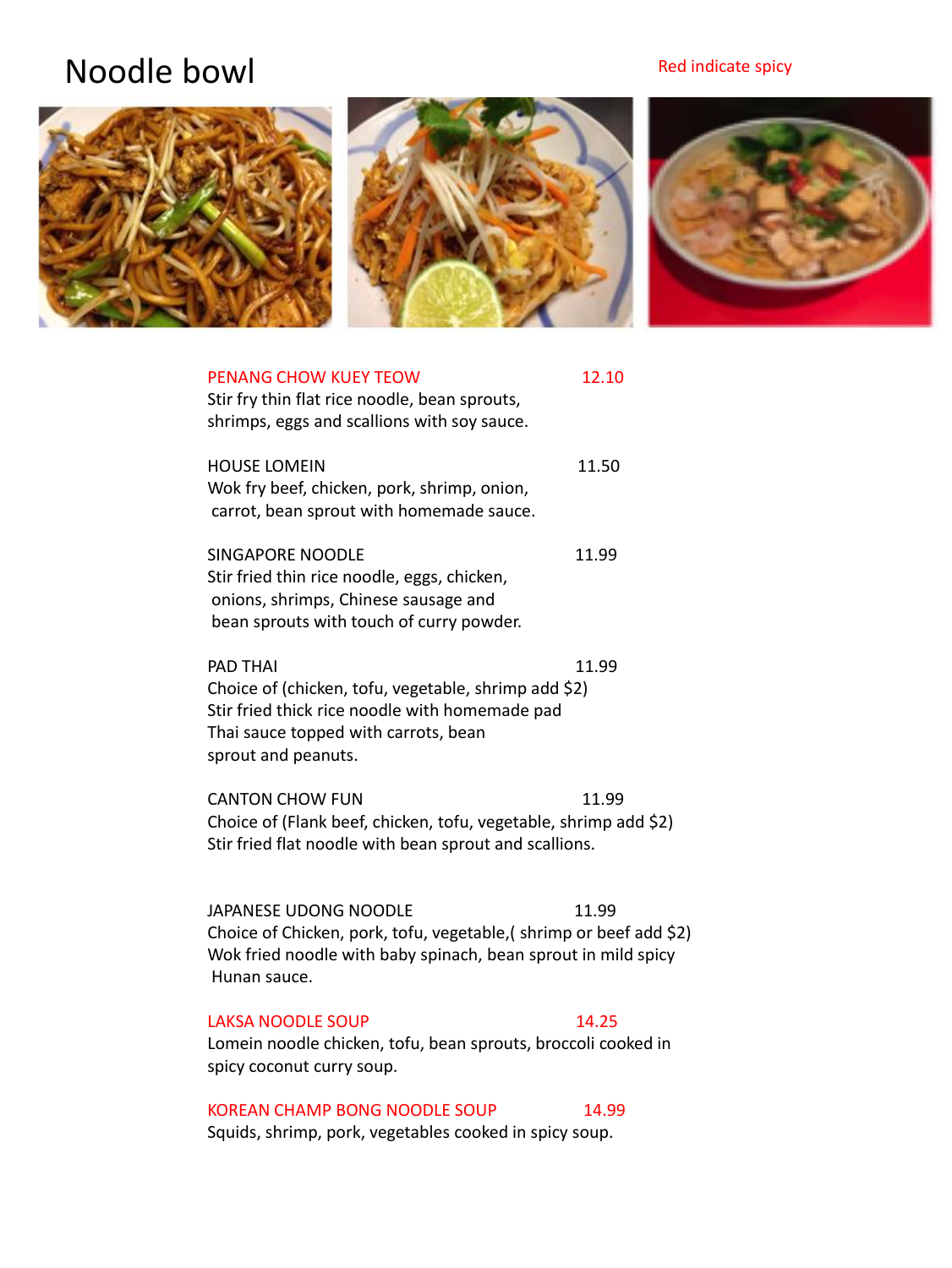## Red indicate spicy

# Noodle bowl



| <b>PENANG CHOW KUEY TEOW</b><br>Stir fry thin flat rice noodle, bean sprouts,<br>shrimps, eggs and scallions with soy sauce.                                                             | 12.10 |
|------------------------------------------------------------------------------------------------------------------------------------------------------------------------------------------|-------|
| <b>HOUSE LOMEIN</b><br>Wok fry beef, chicken, pork, shrimp, onion,<br>carrot, bean sprout with homemade sauce.                                                                           | 11.50 |
| <b>SINGAPORE NOODLE</b><br>Stir fried thin rice noodle, eggs, chicken,<br>onions, shrimps, Chinese sausage and<br>bean sprouts with touch of curry powder.                               | 11.99 |
| <b>PAD THAI</b><br>Choice of (chicken, tofu, vegetable, shrimp add \$2)<br>Stir fried thick rice noodle with homemade pad<br>Thai sauce topped with carrots, bean<br>sprout and peanuts. | 11.99 |
| <b>CANTON CHOW FUN</b><br>Choice of (Flank beef, chicken, tofu, vegetable, shrimp add \$2)<br>Stir fried flat noodle with bean sprout and scallions.                                     | 11.99 |
| JAPANESE UDONG NOODLE<br>Choice of Chicken, pork, tofu, vegetable, (shrimp or beef add \$2)<br>Wok fried noodle with baby spinach, bean sprout in mild spicy<br>Hunan sauce.             | 11.99 |
| <b>LAKSA NOODLE SOUP</b><br>Lomein noodle chicken, tofu, bean sprouts, broccoli cooked in<br>spicy coconut curry soup.                                                                   | 14.25 |

## KOREAN CHAMP BONG NOODLE SOUP 14.99

Squids, shrimp, pork, vegetables cooked in spicy soup.